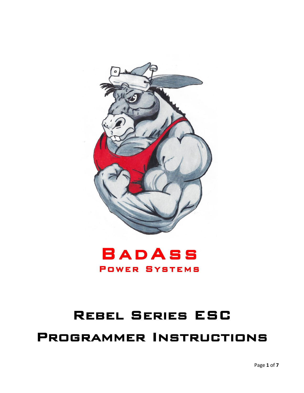



# Rebel Series ESC

# Programmer Instructions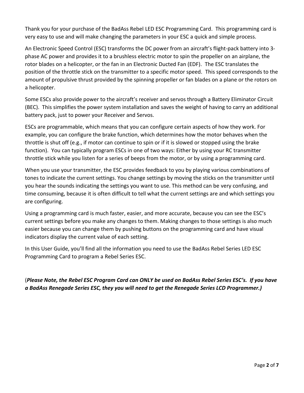Thank you for your purchase of the BadAss Rebel LED ESC Programming Card. This programming card is very easy to use and will make changing the parameters in your ESC a quick and simple process.

An Electronic Speed Control (ESC) transforms the DC power from an aircraft's flight-pack battery into 3 phase AC power and provides it to a brushless electric motor to spin the propeller on an airplane, the rotor blades on a helicopter, or the fan in an Electronic Ducted Fan (EDF). The ESC translates the position of the throttle stick on the transmitter to a specific motor speed. This speed corresponds to the amount of propulsive thrust provided by the spinning propeller or fan blades on a plane or the rotors on a helicopter.

Some ESCs also provide power to the aircraft's receiver and servos through a Battery Eliminator Circuit (BEC). This simplifies the power system installation and saves the weight of having to carry an additional battery pack, just to power your Receiver and Servos.

ESCs are programmable, which means that you can configure certain aspects of how they work. For example, you can configure the brake function, which determines how the motor behaves when the throttle is shut off (e.g., if motor can continue to spin or if it is slowed or stopped using the brake function). You can typically program ESCs in one of two ways: Either by using your RC transmitter throttle stick while you listen for a series of beeps from the motor, or by using a programming card.

When you use your transmitter, the ESC provides feedback to you by playing various combinations of tones to indicate the current settings. You change settings by moving the sticks on the transmitter until you hear the sounds indicating the settings you want to use. This method can be very confusing, and time consuming, because it is often difficult to tell what the current settings are and which settings you are configuring.

Using a programming card is much faster, easier, and more accurate, because you can see the ESC's current settings before you make any changes to them. Making changes to those settings is also much easier because you can change them by pushing buttons on the programming card and have visual indicators display the current value of each setting.

In this User Guide, you'll find all the information you need to use the BadAss Rebel Series LED ESC Programming Card to program a Rebel Series ESC.

(*Please Note, the Rebel ESC Program Card can ONLY be used on BadAss Rebel Series ESC's. If you have a BadAss Renegade Series ESC, they you will need to get the Renegade Series LCD Programmer.)*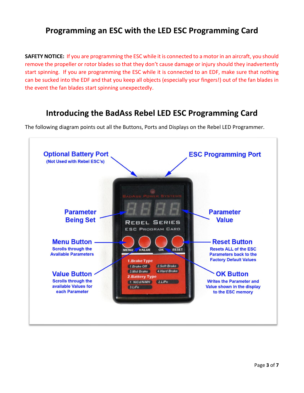#### **Programming an ESC with the LED ESC Programming Card**

**SAFETY NOTICE:** If you are programming the ESC while it is connected to a motor in an aircraft, you should remove the propeller or rotor blades so that they don't cause damage or injury should they inadvertently start spinning. If you are programming the ESC while it is connected to an EDF, make sure that nothing can be sucked into the EDF and that you keep all objects (especially your fingers!) out of the fan blades in the event the fan blades start spinning unexpectedly.

#### **Introducing the BadAss Rebel LED ESC Programming Card**



The following diagram points out all the Buttons, Ports and Displays on the Rebel LED Programmer.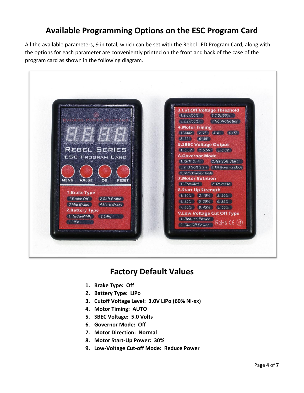## **Available Programming Options on the ESC Program Card**

All the available parameters, 9 in total, which can be set with the Rebel LED Program Card, along with the options for each parameter are conveniently printed on the front and back of the case of the program card as shown in the following diagram.



#### **Factory Default Values**

- **1. Brake Type: Off**
- **2. Battery Type: LiPo**
- **3. Cutoff Voltage Level: 3.0V LiPo (60% Ni-xx)**
- **4. Motor Timing: AUTO**
- **5. SBEC Voltage: 5.0 Volts**
- **6. Governor Mode: Off**
- **7. Motor Direction: Normal**
- **8. Motor Start-Up Power: 30%**
- **9. Low-Voltage Cut-off Mode: Reduce Power**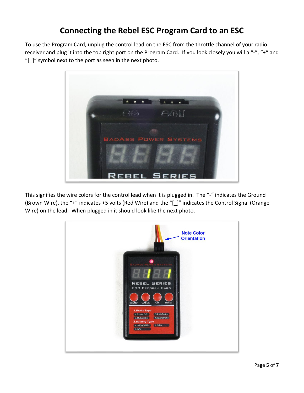# **Connecting the Rebel ESC Program Card to an ESC**

To use the Program Card, unplug the control lead on the ESC from the throttle channel of your radio receiver and plug it into the top right port on the Program Card. If you look closely you will a "-", "+" and "[\_]" symbol next to the port as seen in the next photo.



This signifies the wire colors for the control lead when it is plugged in. The "-" indicates the Ground (Brown Wire), the "+" indicates +5 volts (Red Wire) and the "[\_]" indicates the Control Signal (Orange Wire) on the lead. When plugged in it should look like the next photo.

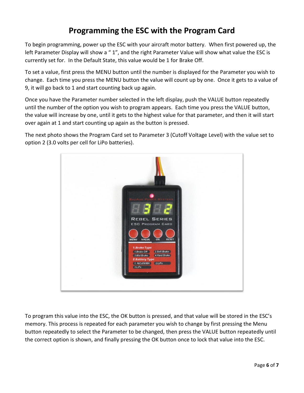# **Programming the ESC with the Program Card**

To begin programming, power up the ESC with your aircraft motor battery. When first powered up, the left Parameter Display will show a "1", and the right Parameter Value will show what value the ESC is currently set for. In the Default State, this value would be 1 for Brake Off.

To set a value, first press the MENU button until the number is displayed for the Parameter you wish to change. Each time you press the MENU button the value will count up by one. Once it gets to a value of 9, it will go back to 1 and start counting back up again.

Once you have the Parameter number selected in the left display, push the VALUE button repeatedly until the number of the option you wish to program appears. Each time you press the VALUE button, the value will increase by one, until it gets to the highest value for that parameter, and then it will start over again at 1 and start counting up again as the button is pressed.

The next photo shows the Program Card set to Parameter 3 (Cutoff Voltage Level) with the value set to option 2 (3.0 volts per cell for LiPo batteries).



To program this value into the ESC, the OK button is pressed, and that value will be stored in the ESC's memory. This process is repeated for each parameter you wish to change by first pressing the Menu button repeatedly to select the Parameter to be changed, then press the VALUE button repeatedly until the correct option is shown, and finally pressing the OK button once to lock that value into the ESC.